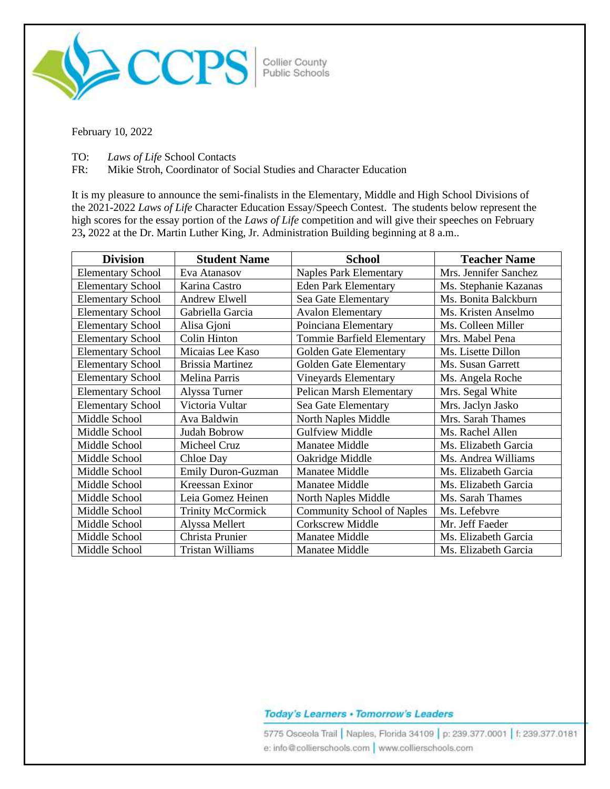

February 10, 2022

TO: *Laws of Life* School Contacts

FR: Mikie Stroh, Coordinator of Social Studies and Character Education

It is my pleasure to announce the semi-finalists in the Elementary, Middle and High School Divisions of the 2021-2022 *Laws of Life* Character Education Essay/Speech Contest. The students below represent the high scores for the essay portion of the *Laws of Life* competition and will give their speeches on February 23**,** 2022 at the Dr. Martin Luther King, Jr. Administration Building beginning at 8 a.m..

| <b>Division</b>          | <b>Student Name</b>       | <b>School</b>                     | <b>Teacher Name</b>   |
|--------------------------|---------------------------|-----------------------------------|-----------------------|
| <b>Elementary School</b> | Eva Atanasov              | <b>Naples Park Elementary</b>     | Mrs. Jennifer Sanchez |
| <b>Elementary School</b> | Karina Castro             | <b>Eden Park Elementary</b>       | Ms. Stephanie Kazanas |
| <b>Elementary School</b> | Andrew Elwell             | Sea Gate Elementary               | Ms. Bonita Balckburn  |
| <b>Elementary School</b> | Gabriella Garcia          | <b>Avalon Elementary</b>          | Ms. Kristen Anselmo   |
| <b>Elementary School</b> | Alisa Gjoni               | Poinciana Elementary              | Ms. Colleen Miller    |
| <b>Elementary School</b> | <b>Colin Hinton</b>       | Tommie Barfield Elementary        | Mrs. Mabel Pena       |
| <b>Elementary School</b> | Micaias Lee Kaso          | Golden Gate Elementary            | Ms. Lisette Dillon    |
| <b>Elementary School</b> | <b>Brissia Martinez</b>   | Golden Gate Elementary            | Ms. Susan Garrett     |
| <b>Elementary School</b> | Melina Parris             | <b>Vineyards Elementary</b>       | Ms. Angela Roche      |
| <b>Elementary School</b> | Alyssa Turner             | Pelican Marsh Elementary          | Mrs. Segal White      |
| <b>Elementary School</b> | Victoria Vultar           | Sea Gate Elementary               | Mrs. Jaclyn Jasko     |
| Middle School            | Ava Baldwin               | North Naples Middle               | Mrs. Sarah Thames     |
| Middle School            | Judah Bobrow              | <b>Gulfview Middle</b>            | Ms. Rachel Allen      |
| Middle School            | Micheel Cruz              | Manatee Middle                    | Ms. Elizabeth Garcia  |
| Middle School            | Chloe Day                 | Oakridge Middle                   | Ms. Andrea Williams   |
| Middle School            | <b>Emily Duron-Guzman</b> | Manatee Middle                    | Ms. Elizabeth Garcia  |
| Middle School            | Kreessan Exinor           | <b>Manatee Middle</b>             | Ms. Elizabeth Garcia  |
| Middle School            | Leia Gomez Heinen         | North Naples Middle               | Ms. Sarah Thames      |
| Middle School            | <b>Trinity McCormick</b>  | <b>Community School of Naples</b> | Ms. Lefebvre          |
| Middle School            | Alyssa Mellert            | <b>Corkscrew Middle</b>           | Mr. Jeff Faeder       |
| Middle School            | Christa Prunier           | Manatee Middle                    | Ms. Elizabeth Garcia  |
| Middle School            | Tristan Williams          | Manatee Middle                    | Ms. Elizabeth Garcia  |

## Today's Learners . Tomorrow's Leaders

5775 Osceola Trail | Naples, Florida 34109 | p: 239.377.0001 | f: 239.377.0181 e: info@collierschools.com | www.collierschools.com